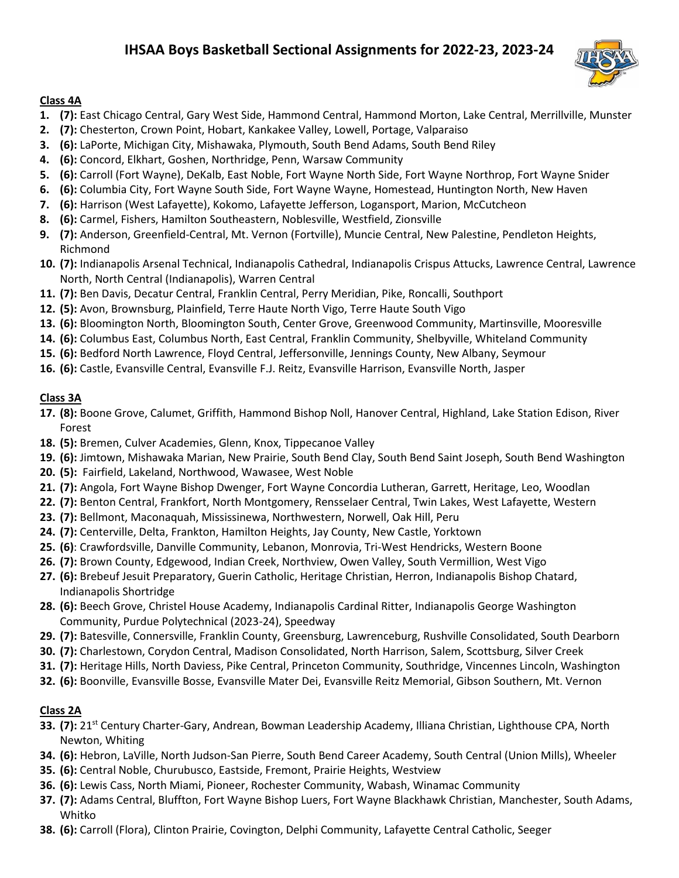# **IHSAA Boys Basketball Sectional Assignments for 2022-23, 2023-24**



#### **Class 4A**

- **1. (7):** East Chicago Central, Gary West Side, Hammond Central, Hammond Morton, Lake Central, Merrillville, Munster
- **2. (7):** Chesterton, Crown Point, Hobart, Kankakee Valley, Lowell, Portage, Valparaiso
- **3. (6):** LaPorte, Michigan City, Mishawaka, Plymouth, South Bend Adams, South Bend Riley
- **4. (6):** Concord, Elkhart, Goshen, Northridge, Penn, Warsaw Community
- **5. (6):** Carroll (Fort Wayne), DeKalb, East Noble, Fort Wayne North Side, Fort Wayne Northrop, Fort Wayne Snider
- **6. (6):** Columbia City, Fort Wayne South Side, Fort Wayne Wayne, Homestead, Huntington North, New Haven
- **7. (6):** Harrison (West Lafayette), Kokomo, Lafayette Jefferson, Logansport, Marion, McCutcheon
- **8. (6):** Carmel, Fishers, Hamilton Southeastern, Noblesville, Westfield, Zionsville
- **9. (7):** Anderson, Greenfield-Central, Mt. Vernon (Fortville), Muncie Central, New Palestine, Pendleton Heights, Richmond
- **10. (7):** Indianapolis Arsenal Technical, Indianapolis Cathedral, Indianapolis Crispus Attucks, Lawrence Central, Lawrence North, North Central (Indianapolis), Warren Central
- **11. (7):** Ben Davis, Decatur Central, Franklin Central, Perry Meridian, Pike, Roncalli, Southport
- **12. (5):** Avon, Brownsburg, Plainfield, Terre Haute North Vigo, Terre Haute South Vigo
- **13. (6):** Bloomington North, Bloomington South, Center Grove, Greenwood Community, Martinsville, Mooresville
- **14. (6):** Columbus East, Columbus North, East Central, Franklin Community, Shelbyville, Whiteland Community
- **15. (6):** Bedford North Lawrence, Floyd Central, Jeffersonville, Jennings County, New Albany, Seymour
- **16. (6):** Castle, Evansville Central, Evansville F.J. Reitz, Evansville Harrison, Evansville North, Jasper

#### **Class 3A**

- **17. (8):** Boone Grove, Calumet, Griffith, Hammond Bishop Noll, Hanover Central, Highland, Lake Station Edison, River Forest
- **18. (5):** Bremen, Culver Academies, Glenn, Knox, Tippecanoe Valley
- **19. (6):** Jimtown, Mishawaka Marian, New Prairie, South Bend Clay, South Bend Saint Joseph, South Bend Washington
- **20. (5):** Fairfield, Lakeland, Northwood, Wawasee, West Noble
- **21. (7):** Angola, Fort Wayne Bishop Dwenger, Fort Wayne Concordia Lutheran, Garrett, Heritage, Leo, Woodlan
- **22. (7):** Benton Central, Frankfort, North Montgomery, Rensselaer Central, Twin Lakes, West Lafayette, Western
- **23. (7):** Bellmont, Maconaquah, Mississinewa, Northwestern, Norwell, Oak Hill, Peru
- **24. (7):** Centerville, Delta, Frankton, Hamilton Heights, Jay County, New Castle, Yorktown
- **25. (6)**: Crawfordsville, Danville Community, Lebanon, Monrovia, Tri-West Hendricks, Western Boone
- **26. (7):** Brown County, Edgewood, Indian Creek, Northview, Owen Valley, South Vermillion, West Vigo
- **27. (6):** Brebeuf Jesuit Preparatory, Guerin Catholic, Heritage Christian, Herron, Indianapolis Bishop Chatard, Indianapolis Shortridge
- **28. (6):** Beech Grove, Christel House Academy, Indianapolis Cardinal Ritter, Indianapolis George Washington Community, Purdue Polytechnical (2023-24), Speedway
- **29. (7):** Batesville, Connersville, Franklin County, Greensburg, Lawrenceburg, Rushville Consolidated, South Dearborn
- **30. (7):** Charlestown, Corydon Central, Madison Consolidated, North Harrison, Salem, Scottsburg, Silver Creek
- **31. (7):** Heritage Hills, North Daviess, Pike Central, Princeton Community, Southridge, Vincennes Lincoln, Washington
- **32. (6):** Boonville, Evansville Bosse, Evansville Mater Dei, Evansville Reitz Memorial, Gibson Southern, Mt. Vernon

## **Class 2A**

- **33. (7):** 21st Century Charter-Gary, Andrean, Bowman Leadership Academy, Illiana Christian, Lighthouse CPA, North Newton, Whiting
- **34. (6):** Hebron, LaVille, North Judson-San Pierre, South Bend Career Academy, South Central (Union Mills), Wheeler
- **35. (6):** Central Noble, Churubusco, Eastside, Fremont, Prairie Heights, Westview
- **36. (6):** Lewis Cass, North Miami, Pioneer, Rochester Community, Wabash, Winamac Community
- **37. (7):** Adams Central, Bluffton, Fort Wayne Bishop Luers, Fort Wayne Blackhawk Christian, Manchester, South Adams, Whitko
- **38. (6):** Carroll (Flora), Clinton Prairie, Covington, Delphi Community, Lafayette Central Catholic, Seeger